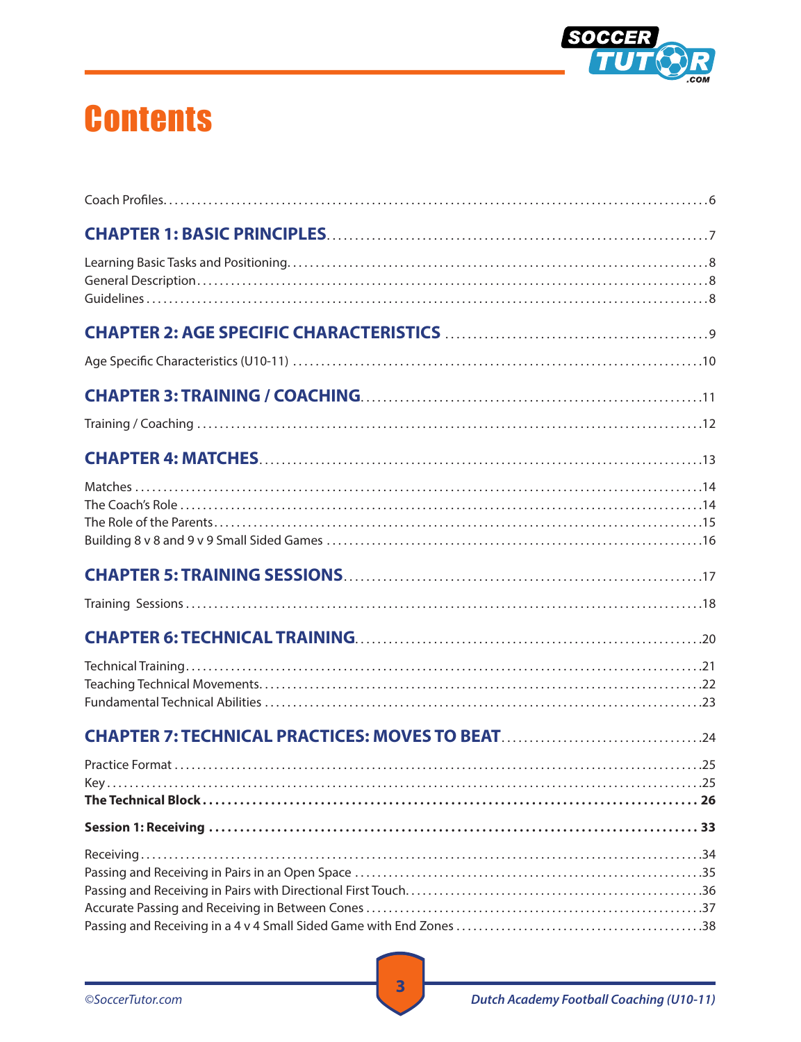

## **Contents**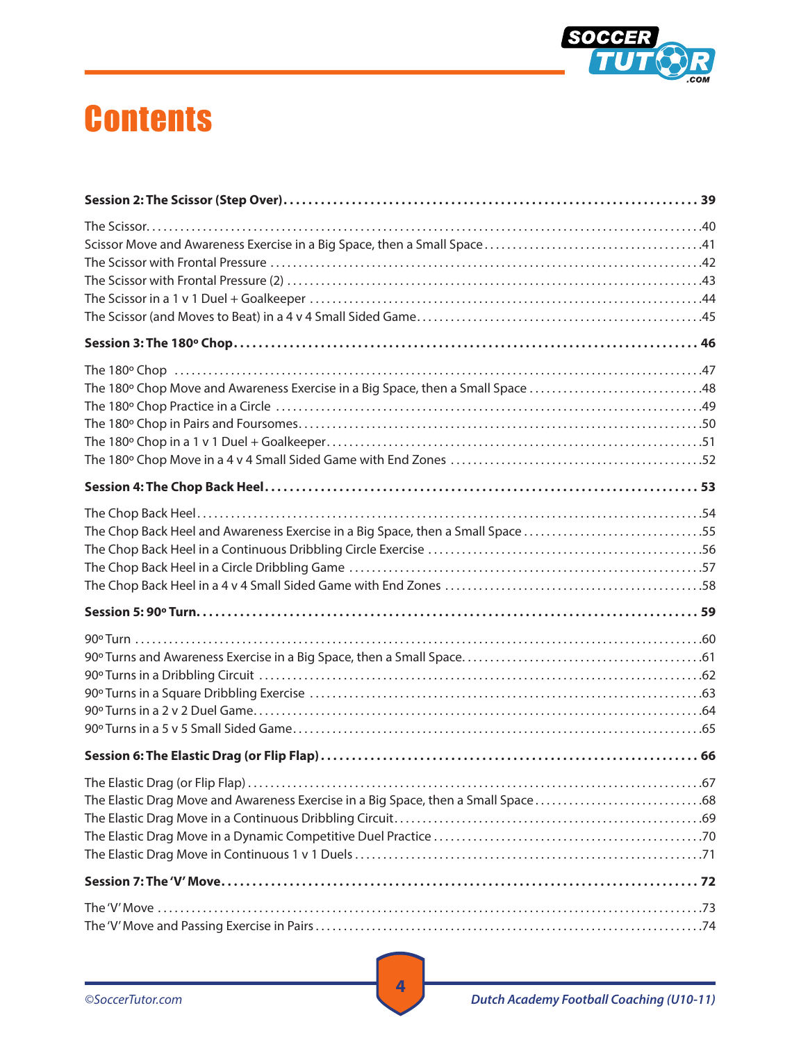

## **Contents**

| The Chop Back Heel and Awareness Exercise in a Big Space, then a Small Space 55 |
|---------------------------------------------------------------------------------|
|                                                                                 |
|                                                                                 |
|                                                                                 |
|                                                                                 |
|                                                                                 |
|                                                                                 |